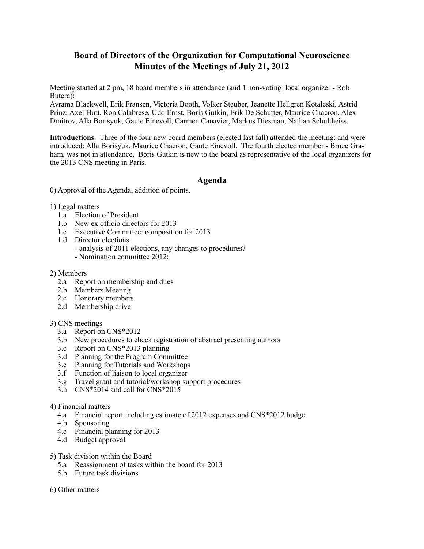# **Board of Directors of the Organization for Computational Neuroscience Minutes of the Meetings of July 21, 2012**

Meeting started at 2 pm, 18 board members in attendance (and 1 non-voting local organizer - Rob Butera):

Avrama Blackwell, Erik Fransen, Victoria Booth, Volker Steuber, Jeanette Hellgren Kotaleski, Astrid Prinz, Axel Hutt, Ron Calabrese, Udo Ernst, Boris Gutkin, Erik De Schutter, Maurice Chacron, Alex Dmitrov, Alla Borisyuk, Gaute Einevoll, Carmen Canavier, Markus Diesman, Nathan Schultheiss.

**Introductions**. Three of the four new board members (elected last fall) attended the meeting: and were introduced: Alla Borisyuk, Maurice Chacron, Gaute Einevoll. The fourth elected member - Bruce Graham, was not in attendance. Boris Gutkin is new to the board as representative of the local organizers for the 2013 CNS meeting in Paris.

## **Agenda**

0) Approval of the Agenda, addition of points.

- 1) Legal matters
	- 1.a Election of President
	- 1.b New ex officio directors for 2013
	- 1.c Executive Committee: composition for 2013
	- 1.d Director elections:
		- analysis of 2011 elections, any changes to procedures?
		- Nomination committee 2012:

#### 2) Members

- 2.a Report on membership and dues
- 2.b Members Meeting
- 2.c Honorary members
- 2.d Membership drive

## 3) CNS meetings

- 3.a Report on CNS\*2012
- 3.b New procedures to check registration of abstract presenting authors
- 3.c Report on CNS\*2013 planning
- 3.d Planning for the Program Committee
- 3.e Planning for Tutorials and Workshops
- 3.f Function of liaison to local organizer
- 3.g Travel grant and tutorial/workshop support procedures
- 3.h CNS\*2014 and call for CNS\*2015

#### 4) Financial matters

- 4.a Financial report including estimate of 2012 expenses and CNS\*2012 budget
- 4.b Sponsoring
- 4.c Financial planning for 2013
- 4.d Budget approval
- 5) Task division within the Board
	- 5.a Reassignment of tasks within the board for 2013
	- 5.b Future task divisions
- 6) Other matters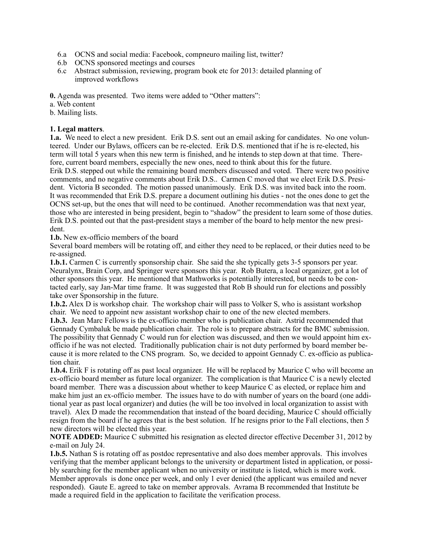- 6.a OCNS and social media: Facebook, compneuro mailing list, twitter?
- 6.b OCNS sponsored meetings and courses
- 6.c Abstract submission, reviewing, program book etc for 2013: detailed planning of improved workflows

**0.** Agenda was presented. Two items were added to "Other matters":

a. Web content

b. Mailing lists.

## **1. Legal matters**.

**1.a.** We need to elect a new president. Erik D.S. sent out an email asking for candidates. No one volunteered. Under our Bylaws, officers can be re-elected. Erik D.S. mentioned that if he is re-elected, his term will total 5 years when this new term is finished, and he intends to step down at that time. Therefore, current board members, especially the new ones, need to think about this for the future. Erik D.S. stepped out while the remaining board members discussed and voted. There were two positive comments, and no negative comments about Erik D.S.. Carmen C moved that we elect Erik D.S. President. Victoria B seconded. The motion passed unanimously. Erik D.S. was invited back into the room. It was recommended that Erik D.S. prepare a document outlining his duties - not the ones done to get the OCNS set-up, but the ones that will need to be continued. Another recommendation was that next year, those who are interested in being president, begin to "shadow" the president to learn some of those duties. Erik D.S. pointed out that the past-president stays a member of the board to help mentor the new president.

**1.b.** New ex-officio members of the board

Several board members will be rotating off, and either they need to be replaced, or their duties need to be re-assigned.

**1.b.1.** Carmen C is currently sponsorship chair. She said the she typically gets 3-5 sponsors per year. Neuralynx, Brain Corp, and Springer were sponsors this year. Rob Butera, a local organizer, got a lot of other sponsors this year. He mentioned that Mathworks is potentially interested, but needs to be contacted early, say Jan-Mar time frame. It was suggested that Rob B should run for elections and possibly take over Sponsorship in the future.

**1.b.2.** Alex D is workshop chair. The workshop chair will pass to Volker S, who is assistant workshop chair. We need to appoint new assistant workshop chair to one of the new elected members.

**1.b.3.** Jean Marc Fellows is the ex-officio member who is publication chair. Astrid recommended that Gennady Cymbaluk be made publication chair. The role is to prepare abstracts for the BMC submission. The possibility that Gennady C would run for election was discussed, and then we would appoint him exofficio if he was not elected. Traditionally publication chair is not duty performed by board member because it is more related to the CNS program. So, we decided to appoint Gennady C. ex-officio as publication chair.

**1.b.4.** Erik F is rotating off as past local organizer. He will be replaced by Maurice C who will become an ex-officio board member as future local organizer. The complication is that Maurice C is a newly elected board member. There was a discussion about whether to keep Maurice C as elected, or replace him and make him just an ex-officio member. The issues have to do with number of years on the board (one additional year as past local organizer) and duties (he will be too involved in local organization to assist with travel). Alex D made the recommendation that instead of the board deciding, Maurice C should officially resign from the board if he agrees that is the best solution. If he resigns prior to the Fall elections, then 5 new directors will be elected this year.

**NOTE ADDED:** Maurice C submitted his resignation as elected director effective December 31, 2012 by e-mail on July 24.

**1.b.5.** Nathan S is rotating off as postdoc representative and also does member approvals. This involves verifying that the member applicant belongs to the university or department listed in application, or possibly searching for the member applicant when no university or institute is listed, which is more work. Member approvals is done once per week, and only 1 ever denied (the applicant was emailed and never responded). Gaute E. agreed to take on member approvals. Avrama B recommended that Institute be made a required field in the application to facilitate the verification process.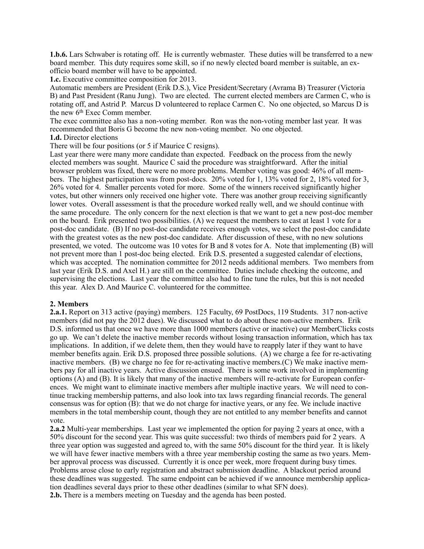**1.b.6.** Lars Schwaber is rotating off. He is currently webmaster. These duties will be transferred to a new board member. This duty requires some skill, so if no newly elected board member is suitable, an exofficio board member will have to be appointed.

**1.c.** Executive committee composition for 2013.

Automatic members are President (Erik D.S.), Vice President/Secretary (Avrama B) Treasurer (Victoria B) and Past President (Ranu Jung). Two are elected. The current elected members are Carmen C, who is rotating off, and Astrid P. Marcus D volunteered to replace Carmen C. No one objected, so Marcus D is the new 6<sup>th</sup> Exec Comm member.

The exec committee also has a non-voting member. Ron was the non-voting member last year. It was recommended that Boris G become the new non-voting member. No one objected. **1.d.** Director elections

There will be four positions (or 5 if Maurice C resigns).

Last year there were many more candidate than expected. Feedback on the process from the newly elected members was sought. Maurice C said the procedure was straightforward. After the initial browser problem was fixed, there were no more problems. Member voting was good: 46% of all members. The highest participation was from post-docs. 20% voted for 1, 13% voted for 2, 18% voted for 3, 26% voted for 4. Smaller percents voted for more. Some of the winners received significantly higher votes, but other winners only received one higher vote. There was another group receiving significantly lower votes. Overall assessment is that the procedure worked really well, and we should continue with the same procedure. The only concern for the next election is that we want to get a new post-doc member on the board. Erik presented two possibilities. (A) we request the members to cast at least 1 vote for a post-doc candidate. (B) If no post-doc candidate receives enough votes, we select the post-doc candidate with the greatest votes as the new post-doc candidate. After discussion of these, with no new solutions presented, we voted. The outcome was 10 votes for B and 8 votes for A. Note that implementing (B) will not prevent more than 1 post-doc being elected. Erik D.S. presented a suggested calendar of elections, which was accepted. The nomination committee for 2012 needs additional members. Two members from last year (Erik D.S. and Axel H.) are still on the committee. Duties include checking the outcome, and supervising the elections. Last year the committee also had to fine tune the rules, but this is not needed this year. Alex D. And Maurice C. volunteered for the committee.

## **2. Members**

**2.a.1.** Report on 313 active (paying) members. 125 Faculty, 69 PostDocs, 119 Students. 317 non-active members (did not pay the 2012 dues). We discussed what to do about these non-active members. Erik D.S. informed us that once we have more than 1000 members (active or inactive) our MemberClicks costs go up. We can't delete the inactive member records without losing transaction information, which has tax implications. In addition, if we delete them, then they would have to reapply later if they want to have member benefits again. Erik D.S. proposed three possible solutions. (A) we charge a fee for re-activating inactive members. (B) we charge no fee for re-activating inactive members. (C) We make inactive members pay for all inactive years. Active discussion ensued. There is some work involved in implementing options (A) and (B). It is likely that many of the inactive members will re-activate for European conferences. We might want to eliminate inactive members after multiple inactive years. We will need to continue tracking membership patterns, and also look into tax laws regarding financial records. The general consensus was for option (B): that we do not charge for inactive years, or any fee. We include inactive members in the total membership count, though they are not entitled to any member benefits and cannot vote.

**2.a.2** Multi-year memberships. Last year we implemented the option for paying 2 years at once, with a 50% discount for the second year. This was quite successful: two thirds of members paid for 2 years. A three year option was suggested and agreed to, with the same 50% discount for the third year. It is likely we will have fewer inactive members with a three year membership costing the same as two years. Member approval process was discussed. Currently it is once per week, more frequent during busy times. Problems arose close to early registration and abstract submission deadline. A blackout period around these deadlines was suggested. The same endpoint can be achieved if we announce membership application deadlines several days prior to these other deadlines (similar to what SFN does). **2.b.** There is a members meeting on Tuesday and the agenda has been posted.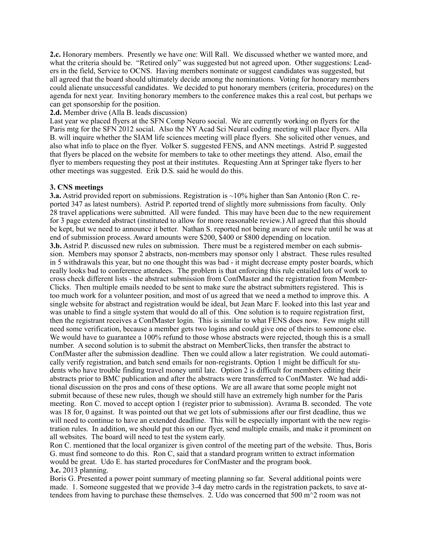**2.c.** Honorary members. Presently we have one: Will Rall. We discussed whether we wanted more, and what the criteria should be. "Retired only" was suggested but not agreed upon. Other suggestions: Leaders in the field, Service to OCNS. Having members nominate or suggest candidates was suggested, but all agreed that the board should ultimately decide among the nominations. Voting for honorary members could alienate unsuccessful candidates. We decided to put honorary members (criteria, procedures) on the agenda for next year. Inviting honorary members to the conference makes this a real cost, but perhaps we can get sponsorship for the position.

#### **2.d.** Member drive (Alla B. leads discussion)

Last year we placed flyers at the SFN Comp Neuro social. We are currently working on flyers for the Paris mtg for the SFN 2012 social. Also the NY Acad Sci Neural coding meeting will place flyers. Alla B. will inquire whether the SIAM life sciences meeting will place flyers. She solicited other venues, and also what info to place on the flyer. Volker S. suggested FENS, and ANN meetings. Astrid P. suggested that flyers be placed on the website for members to take to other meetings they attend. Also, email the flyer to members requesting they post at their institutes. Requesting Ann at Springer take flyers to her other meetings was suggested. Erik D.S. said he would do this.

## **3. CNS meetings**

**3.a.** Astrid provided report on submissions. Registration is ~10% higher than San Antonio (Ron C. reported 347 as latest numbers). Astrid P. reported trend of slightly more submissions from faculty. Only 28 travel applications were submitted. All were funded. This may have been due to the new requirement for 3 page extended abstract (instituted to allow for more reasonable review.) All agreed that this should be kept, but we need to announce it better. Nathan S. reported not being aware of new rule until he was at end of submission process. Award amounts were \$200, \$400 or \$800 depending on location. **3.b.** Astrid P. discussed new rules on submission. There must be a registered member on each submission. Members may sponsor 2 abstracts, non-members may sponsor only 1 abstract. These rules resulted in 5 withdrawals this year, but no one thought this was bad - it might decrease empty poster boards, which really looks bad to conference attendees. The problem is that enforcing this rule entailed lots of work to cross check different lists - the abstract submission from ConfMaster and the registration from Member-Clicks. Then multiple emails needed to be sent to make sure the abstract submitters registered. This is too much work for a volunteer position, and most of us agreed that we need a method to improve this. A single website for abstract and registration would be ideal, but Jean Marc F. looked into this last year and was unable to find a single system that would do all of this. One solution is to require registration first, then the registrant receives a ConfMaster login. This is similar to what FENS does now. Few might still need some verification, because a member gets two logins and could give one of theirs to someone else. We would have to guarantee a 100% refund to those whose abstracts were rejected, though this is a small number. A second solution is to submit the abstract on MemberClicks, then transfer the abstract to ConfMaster after the submission deadline. Then we could allow a later registration. We could automatically verify registration, and batch send emails for non-registrants. Option 1 might be difficult for students who have trouble finding travel money until late. Option 2 is difficult for members editing their abstracts prior to BMC publication and after the abstracts were transferred to ConfMaster. We had additional discussion on the pros and cons of these options. We are all aware that some people might not submit because of these new rules, though we should still have an extremely high number for the Paris meeting. Ron C. moved to accept option 1 (register prior to submission). Avrama B. seconded. The vote was 18 for, 0 against. It was pointed out that we get lots of submissions after our first deadline, thus we will need to continue to have an extended deadline. This will be especially important with the new registration rules. In addition, we should put this on our flyer, send multiple emails, and make it prominent on all websites. The board will need to test the system early.

Ron C. mentioned that the local organizer is given control of the meeting part of the website. Thus, Boris G. must find someone to do this. Ron C, said that a standard program written to extract information would be great. Udo E. has started procedures for ConfMaster and the program book. **3.c.** 2013 planning.

Boris G. Presented a power point summary of meeting planning so far. Several additional points were made. 1. Someone suggested that we provide 3-4 day metro cards in the registration packets, to save attendees from having to purchase these themselves. 2. Udo was concerned that 500  $\text{m}^{\wedge}2$  room was not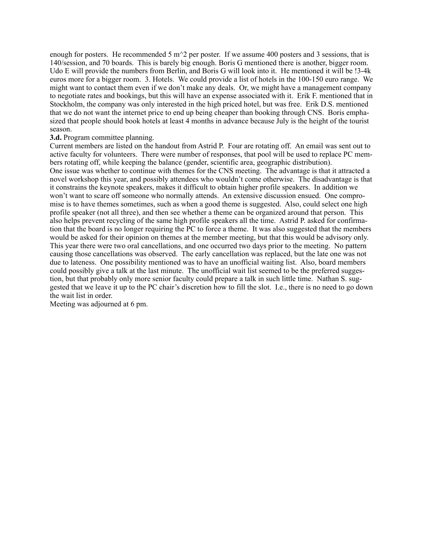enough for posters. He recommended 5 m $\gamma$ 2 per poster. If we assume 400 posters and 3 sessions, that is 140/session, and 70 boards. This is barely big enough. Boris G mentioned there is another, bigger room. Udo E will provide the numbers from Berlin, and Boris G will look into it. He mentioned it will be !3-4k euros more for a bigger room. 3. Hotels. We could provide a list of hotels in the 100-150 euro range. We might want to contact them even if we don't make any deals. Or, we might have a management company to negotiate rates and bookings, but this will have an expense associated with it. Erik F. mentioned that in Stockholm, the company was only interested in the high priced hotel, but was free. Erik D.S. mentioned that we do not want the internet price to end up being cheaper than booking through CNS. Boris emphasized that people should book hotels at least 4 months in advance because July is the height of the tourist season.

#### **3.d.** Program committee planning.

Current members are listed on the handout from Astrid P. Four are rotating off. An email was sent out to active faculty for volunteers. There were number of responses, that pool will be used to replace PC members rotating off, while keeping the balance (gender, scientific area, geographic distribution). One issue was whether to continue with themes for the CNS meeting. The advantage is that it attracted a novel workshop this year, and possibly attendees who wouldn't come otherwise. The disadvantage is that it constrains the keynote speakers, makes it difficult to obtain higher profile speakers. In addition we won't want to scare off someone who normally attends. An extensive discussion ensued. One compromise is to have themes sometimes, such as when a good theme is suggested. Also, could select one high profile speaker (not all three), and then see whether a theme can be organized around that person. This also helps prevent recycling of the same high profile speakers all the time. Astrid P. asked for confirmation that the board is no longer requiring the PC to force a theme. It was also suggested that the members would be asked for their opinion on themes at the member meeting, but that this would be advisory only. This year there were two oral cancellations, and one occurred two days prior to the meeting. No pattern causing those cancellations was observed. The early cancellation was replaced, but the late one was not due to lateness. One possibility mentioned was to have an unofficial waiting list. Also, board members could possibly give a talk at the last minute. The unofficial wait list seemed to be the preferred suggestion, but that probably only more senior faculty could prepare a talk in such little time. Nathan S. suggested that we leave it up to the PC chair's discretion how to fill the slot. I.e., there is no need to go down the wait list in order.

Meeting was adjourned at 6 pm.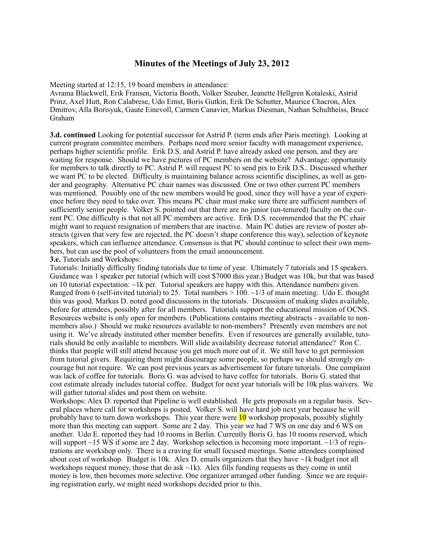## **Minutes of the Meetings of July 23, 2012**

Meeting started at 12:15, 19 board members in attendance:

Avrama Blackwell, Erik Fransen, Victoria Booth, Volker Steuber, Jeanette Hellgren Kotaleski, Astrid Prinz, Axel Hutt, Ron Calabrese, Udo Ernst, Boris Gutkin, Erik De Schutter, Maurice Chacron, Alex Dmitrov, Alla Borisyuk, Gaute Einevoll, Carmen Canavier, Markus Diesman, Nathan Schultheiss, Bruce Graham

**3.d. continued** Looking for potential successor for Astrid P. (term ends after Paris meeting). Looking at current program committee members. Perhaps need more senior faculty with management experience, perhaps higher scientific profile. Erik D.S. and Astrid P. have already asked one person, and they are waiting for response. Should we have pictures of PC members on the website? Advantage: opportunity for members to talk directly to PC. Astrid P. will request PC to send pix to Erik D.S.. Discussed whether we want PC to be elected. Difficulty is maintaining balance across scientific disciplines, as well as gender and geography. Alternative PC chair names was discussed. One or two other current PC members was mentioned. Possibly one of the new members would be good, since they will have a year of experience before they need to take over. This means PC chair must make sure there are sufficient numbers of sufficiently senior people. Volker S. pointed out that there are no junior (un-tenured) faculty on the current PC. One difficulty is that not all PC members are active. Erik D.S. recommended that the PC chair might want to request resignation of members that are inactive. Main PC duties are review of poster abstracts (given that very few are rejected, the PC doesn't shape conference this way), selection of keynote speakers, which can influence attendance. Consensus is that PC should continue to select their own members, but can use the pool of volunteers from the email announcement.

**3.e.** Tutorials and Workshops:

Tutorials: Initially difficulty finding tutorials due to time of year. Ultimately 7 tutorials and 15 speakers. Guidance was 1 speaker per tutorial (which will cost \$7000 this year.) Budget was 10k, but that was based on 10 tutorial expectation:  $\sim$ 1k per. Tutorial speakers are happy with this. Attendance numbers given. Ranged from 6 (self-invited tutorial) to 25. Total numbers  $> 100$ .  $\sim$  1/3 of main meeting. Udo E. thought this was good. Markus D. noted good discussions in the tutorials. Discussion of making slides available, before for attendees, possibly after for all members. Tutorials support the educational mission of OCNS. Resources website is only open for members. (Publications contains meeting abstracts - available to nonmembers also.) Should we make resources available to non-members? Presently even members are not using it. We've already instituted other member benefits. Even if resources are generally available, tutorials should be only available to members. Will slide availability decrease tutorial attendance? Ron C. thinks that people will still attend because you get much more out of it. We still have to get permission from tutorial givers. Requiring them might discourage some people, so perhaps we should strongly encourage but not require. We can post previous years as advertisement for future tutorials. One complaint was lack of coffee for tutorials. Boris G. was advised to have coffee for tutorials. Boris G. stated that cost estimate already includes tutorial coffee. Budget for next year tutorials will be 10k plus waivers. We will gather tutorial slides and post them on website.

Workshops: Alex D. reported that Pipeline is well established. He gets proposals on a regular basis. Several places where call for workshops is posted. Volker S. will have hard job next year because he will probably have to turn down workshops. This year there were  $10$  workshop proposals, possibly slightly more than this meeting can support. Some are 2 day. This year we had 7 WS on one day and 6 WS on another. Udo E. reported they had 10 rooms in Berlin. Currently Boris G. has 10 rooms reserved, which will support  $\sim$ 15 WS if some are 2 day. Workshop selection is becoming more important.  $\sim$ 1/3 of registrations are workshop only. There is a craving for small focused meetings. Some attendees complained about cost of workshop. Budget is 10k. Alex D. emails organizers that they have  $\sim$ 1k budget (not all workshops request money, those that do ask  $\neg 1k$ ). Alex fills funding requests as they come in until money is low, then becomes more selective. One organizer arranged other funding. Since we are requiring registration early, we might need workshops decided prior to this.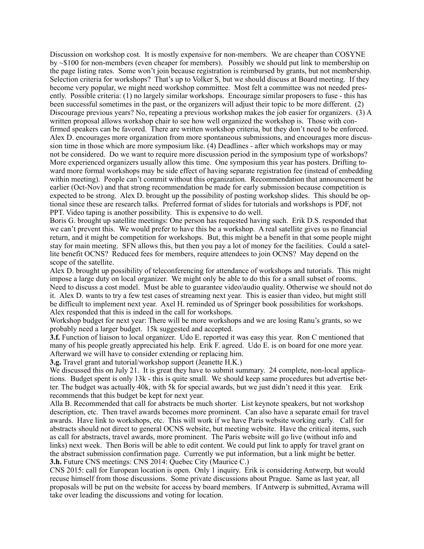Discussion on workshop cost. It is mostly expensive for non-members. We are cheaper than COSYNE by ~\$100 for non-members (even cheaper for members). Possibly we should put link to membership on the page listing rates. Some won't join because registration is reimbursed by grants, but not membership. Selection criteria for workshops? That's up to Volker S, but we should discuss at Board meeting. If they become very popular, we might need workshop committee. Most felt a committee was not needed presently. Possible criteria: (1) no largely similar workshops. Encourage similar proposers to fuse - this has been successful sometimes in the past, or the organizers will adjust their topic to be more different. (2) Discourage previous years? No, repeating a previous workshop makes the job easier for organizers. (3) A written proposal allows workshop chair to see how well organized the workshop is. Those with confirmed speakers can be favored. There are written workshop criteria, but they don't need to be enforced. Alex D. encourages more organization from more spontaneous submissions, and encourages more discussion time in those which are more symposium like. (4) Deadlines - after which workshops may or may not be considered. Do we want to require more discussion period in the symposium type of workshops? More experienced organizers usually allow this time. One symposium this year has posters. Drifting toward more formal workshops may be side effect of having separate registration fee (instead of embedding within meeting). People can't commit without this organization. Recommendation that announcement be earlier (Oct-Nov) and that strong recommendation be made for early submission because competition is expected to be strong. Alex D. brought up the possibility of posting workshop slides. This should be optional since these are research talks. Preferred format of slides for tutorials and workshops is PDF, not PPT. Video taping is another possibility. This is expensive to do well.

Boris G. brought up satellite meetings: One person has requested having such. Erik D.S. responded that we can't prevent this. We would prefer to have this be a workshop. A real satellite gives us no financial return, and it might be competition for workshops. But, this might be a benefit in that some people might stay for main meeting. SFN allows this, but then you pay a lot of money for the facilities. Could a satellite benefit OCNS? Reduced fees for members, require attendees to join OCNS? May depend on the scope of the satellite.

Alex D. brought up possibility of teleconferencing for attendance of workshops and tutorials. This might impose a large duty on local organizer. We might only be able to do this for a small subset of rooms. Need to discuss a cost model. Must be able to guarantee video/audio quality. Otherwise we should not do it. Alex D. wants to try a few test cases of streaming next year. This is easier than video, but might still be difficult to implement next year. Axel H. reminded us of Springer book possibilities for workshops. Alex responded that this is indeed in the call for workshops.

Workshop budget for next year: There will be more workshops and we are losing Ranu's grants, so we probably need a larger budget. 15k suggested and accepted.

**3.f.** Function of liaison to local organizer. Udo E. reported it was easy this year. Ron C mentioned that many of his people greatly appreciated his help. Erik F. agreed. Udo E. is on board for one more year. Afterward we will have to consider extending or replacing him.

**3.g.** Travel grant and tutorial/workshop support (Jeanette H.K.)

We discussed this on July 21. It is great they have to submit summary. 24 complete, non-local applications. Budget spent is only 13k - this is quite small. We should keep same procedures but advertise better. The budget was actually 40k, with 5k for special awards, but we just didn't need it this year. Erik recommends that this budget be kept for next year.

Alla B. Recommended that call for abstracts be much shorter. List keynote speakers, but not workshop description, etc. Then travel awards becomes more prominent. Can also have a separate email for travel awards. Have link to workshops, etc. This will work if we have Paris website working early. Call for abstracts should not direct to general OCNS website, but meeting website. Have the critical items, such as call for abstracts, travel awards, more prominent. The Paris website will go live (without info and links) next week. Then Boris will be able to edit content. We could put link to apply for travel grant on the abstract submission confirmation page. Currently we put information, but a link might be better. **3.h.** Future CNS meetings: CNS 2014: Quebec City (Maurice C.)

CNS 2015: call for European location is open. Only 1 inquiry. Erik is considering Antwerp, but would recuse himself from those discussions. Some private discussions about Prague. Same as last year, all proposals will be put on the website for access by board members. If Antwerp is submitted, Avrama will take over leading the discussions and voting for location.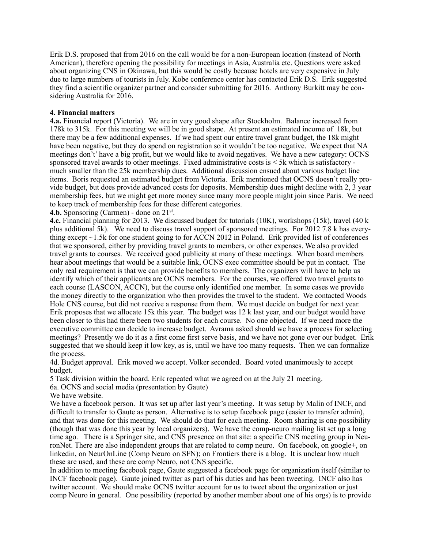Erik D.S. proposed that from 2016 on the call would be for a non-European location (instead of North American), therefore opening the possibility for meetings in Asia, Australia etc. Questions were asked about organizing CNS in Okinawa, but this would be costly because hotels are very expensive in July due to large numbers of tourists in July. Kobe conference center has contacted Erik D.S. Erik suggested they find a scientific organizer partner and consider submitting for 2016. Anthony Burkitt may be considering Australia for 2016.

#### **4. Financial matters**

**4.a.** Financial report (Victoria). We are in very good shape after Stockholm. Balance increased from 178k to 315k. For this meeting we will be in good shape. At present an estimated income of 18k, but there may be a few additional expenses. If we had spent our entire travel grant budget, the 18k might have been negative, but they do spend on registration so it wouldn't be too negative. We expect that NA meetings don't' have a big profit, but we would like to avoid negatives. We have a new category: OCNS sponsored travel awards to other meetings. Fixed administrative costs is < 5k which is satisfactory much smaller than the 25k membership dues. Additional discussion ensued about various budget line items. Boris requested an estimated budget from Victoria. Erik mentioned that OCNS doesn't really provide budget, but does provide advanced costs for deposits. Membership dues might decline with 2, 3 year membership fees, but we might get more money since many more people might join since Paris. We need to keep track of membership fees for these different categories.

**4.b.** Sponsoring (Carmen) - done on 21st.

**4.c.** Financial planning for 2013. We discussed budget for tutorials (10K), workshops (15k), travel (40 k plus additional 5k). We need to discuss travel support of sponsored meetings. For 2012 7.8 k has everything except  $\sim$ 1.5k for one student going to for ACCN 2012 in Poland. Erik provided list of conferences that we sponsored, either by providing travel grants to members, or other expenses. We also provided travel grants to courses. We received good publicity at many of these meetings. When board members hear about meetings that would be a suitable link, OCNS exec committee should be put in contact. The only real requirement is that we can provide benefits to members. The organizers will have to help us identify which of their applicants are OCNS members. For the courses, we offered two travel grants to each course (LASCON, ACCN), but the course only identified one member. In some cases we provide the money directly to the organization who then provides the travel to the student. We contacted Woods Hole CNS course, but did not receive a response from them. We must decide on budget for next year. Erik proposes that we allocate 15k this year. The budget was 12 k last year, and our budget would have been closer to this had there been two students for each course. No one objected. If we need more the executive committee can decide to increase budget. Avrama asked should we have a process for selecting meetings? Presently we do it as a first come first serve basis, and we have not gone over our budget. Erik suggested that we should keep it low key, as is, until we have too many requests. Then we can formalize the process.

4d. Budget approval. Erik moved we accept. Volker seconded. Board voted unanimously to accept budget.

5 Task division within the board. Erik repeated what we agreed on at the July 21 meeting.

6a. OCNS and social media (presentation by Gaute)

We have website.

We have a facebook person. It was set up after last year's meeting. It was setup by Malin of INCF, and difficult to transfer to Gaute as person. Alternative is to setup facebook page (easier to transfer admin), and that was done for this meeting. We should do that for each meeting. Room sharing is one possibility (though that was done this year by local organizers). We have the comp-neuro mailing list set up a long time ago. There is a Springer site, and CNS presence on that site: a specific CNS meeting group in NeuronNet. There are also independent groups that are related to comp neuro. On facebook, on google+, on linkedin, on NeurOnLine (Comp Neuro on SFN); on Frontiers there is a blog. It is unclear how much these are used, and these are comp Neuro, not CNS specific.

In addition to meeting facebook page, Gaute suggested a facebook page for organization itself (similar to INCF facebook page). Gaute joined twitter as part of his duties and has been tweeting. INCF also has twitter account. We should make OCNS twitter account for us to tweet about the organization or just comp Neuro in general. One possibility (reported by another member about one of his orgs) is to provide